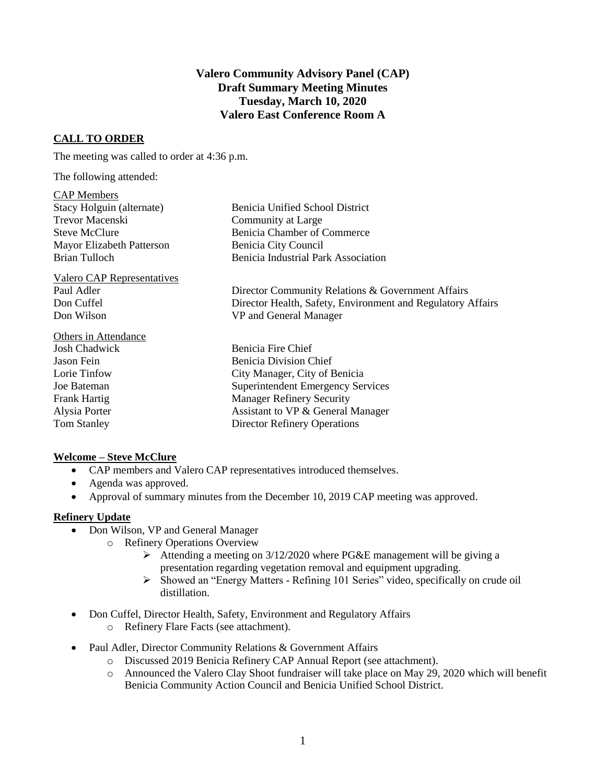# **Valero Community Advisory Panel (CAP) Draft Summary Meeting Minutes Tuesday, March 10, 2020 Valero East Conference Room A**

# **CALL TO ORDER**

The meeting was called to order at 4:36 p.m.

The following attended:

#### CAP Members

| Stacy Holguin (alternate)        | Benicia Unified School District                   |
|----------------------------------|---------------------------------------------------|
| <b>Trevor Macenski</b>           | Community at Large                                |
| Steve McClure                    | Benicia Chamber of Commerce                       |
| <b>Mayor Elizabeth Patterson</b> | Benicia City Council                              |
| <b>Brian Tulloch</b>             | Benicia Industrial Park Association               |
| Valero CAP Representatives       |                                                   |
| Paul Adler                       | Director Community Relations & Government Affairs |

Don Cuffel Director Health, Safety, Environment and Regulatory Affairs Don Wilson VP and General Manager

Benicia Fire Chief Jason Fein Benicia Division Chief Lorie Tinfow City Manager, City of Benicia Joe Bateman Superintendent Emergency Services Frank Hartig Manager Refinery Security Alysia Porter Assistant to VP & General Manager Tom Stanley Director Refinery Operations

# **Welcome – Steve McClure**

Others in Attendance<br>Josh Chadwick

- CAP members and Valero CAP representatives introduced themselves.
- Agenda was approved.
- Approval of summary minutes from the December 10, 2019 CAP meeting was approved.

## **Refinery Update**

- Don Wilson, VP and General Manager
	- o Refinery Operations Overview
		- $\triangleright$  Attending a meeting on 3/12/2020 where PG&E management will be giving a presentation regarding vegetation removal and equipment upgrading.
		- Showed an "Energy Matters Refining 101 Series" video, specifically on crude oil distillation.
- Don Cuffel, Director Health, Safety, Environment and Regulatory Affairs
	- o Refinery Flare Facts (see attachment).
- Paul Adler, Director Community Relations & Government Affairs
	- o Discussed 2019 Benicia Refinery CAP Annual Report (see attachment).
	- o Announced the Valero Clay Shoot fundraiser will take place on May 29, 2020 which will benefit Benicia Community Action Council and Benicia Unified School District.